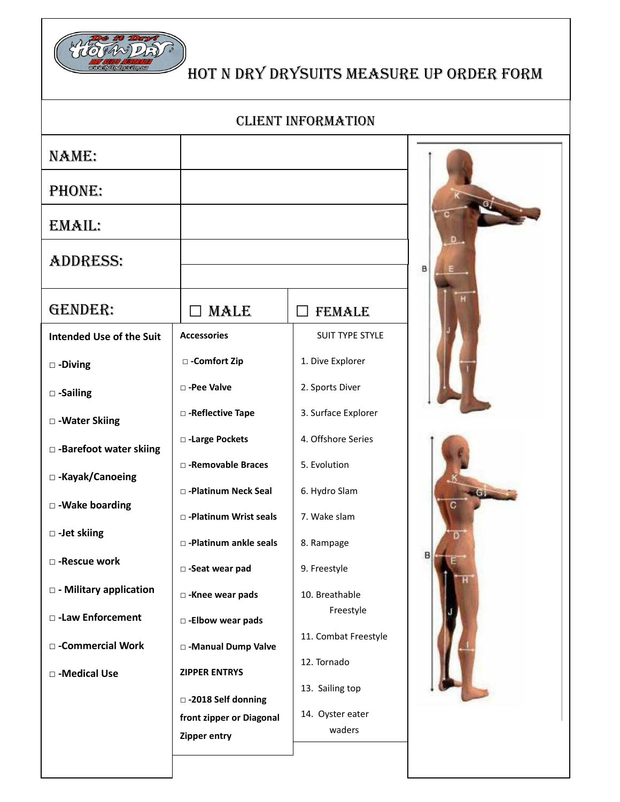

## HOT n DRY DRYSUITS MEASURE UP ORDER FORM

CLIENT INFORMATION

| NAME:                           |                            |                      |   |
|---------------------------------|----------------------------|----------------------|---|
|                                 |                            |                      |   |
| PHONE:                          |                            |                      |   |
| EMAIL:                          |                            |                      |   |
| <b>ADDRESS:</b>                 |                            |                      | B |
| GENDER:                         | <b>MALE</b>                | <b>FEMALE</b>        |   |
| <b>Intended Use of the Suit</b> | <b>Accessories</b>         | SUIT TYPE STYLE      |   |
| $\square$ -Diving               | □ -Comfort Zip             | 1. Dive Explorer     |   |
| $\square$ -Sailing              | □ -Pee Valve               | 2. Sports Diver      |   |
| □ - Water Skiing                | □ -Reflective Tape         | 3. Surface Explorer  |   |
| □ -Barefoot water skiing        | □ -Large Pockets           | 4. Offshore Series   |   |
| □ -Kayak/Canoeing               | □ -Removable Braces        | 5. Evolution         |   |
| □ -Wake boarding                | □ -Platinum Neck Seal      | 6. Hydro Slam        |   |
|                                 | □ -Platinum Wrist seals    | 7. Wake slam         |   |
| □ -Jet skiing                   | □ -Platinum ankle seals    | 8. Rampage           |   |
| □ -Rescue work                  | □ -Seat wear pad           | 9. Freestyle         |   |
| □ - Military application        | □ -Knee wear pads          | 10. Breathable       |   |
| □ -Law Enforcement              | $\square$ -Elbow wear pads | Freestyle            |   |
| □ -Commercial Work              | □ -Manual Dump Valve       | 11. Combat Freestyle |   |
| □ -Medical Use                  | <b>ZIPPER ENTRYS</b>       | 12. Tornado          |   |
|                                 | □ -2018 Self donning       | 13. Sailing top      |   |
|                                 | front zipper or Diagonal   | 14. Oyster eater     |   |
|                                 | Zipper entry               | waders               |   |
|                                 |                            |                      |   |